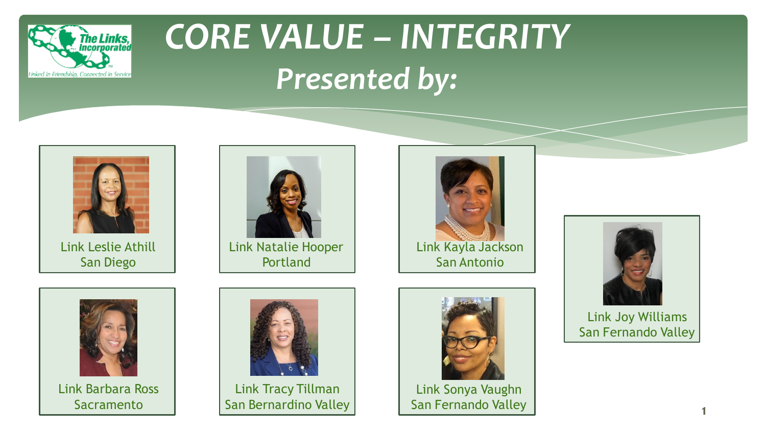

# *CORE VALUE – INTEGRITY*

## *Presented by:*



Link Leslie Athill San Diego



Link Kayla Jackson San Antonio



Link Barbara Ross Sacramento



Link Tracy Tillman San Bernardino Valley



Link Sonya Vaughn San Fernando Valley



Link Joy Williams San Fernando Valley

**1**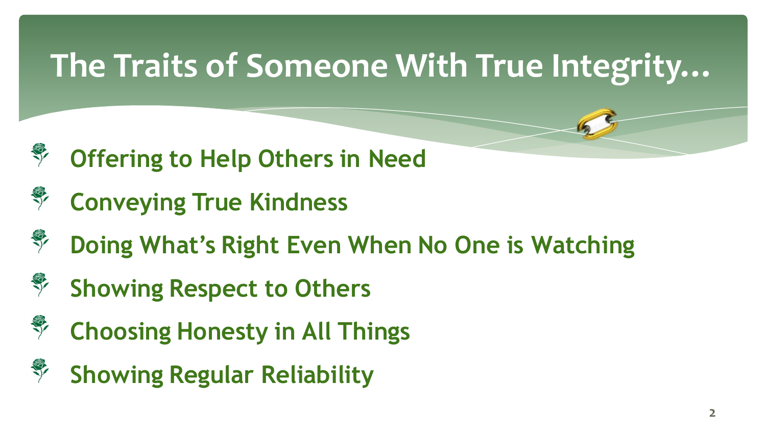## **The Traits of Someone With True Integrity…**

- **Offering to Help Others in Need**
- **Conveying True Kindness**
- **Doing What's Right Even When No One is Watching**
- N **Showing Respect to Others**
- N **Choosing Honesty in All Things**
	- **Showing Regular Reliability**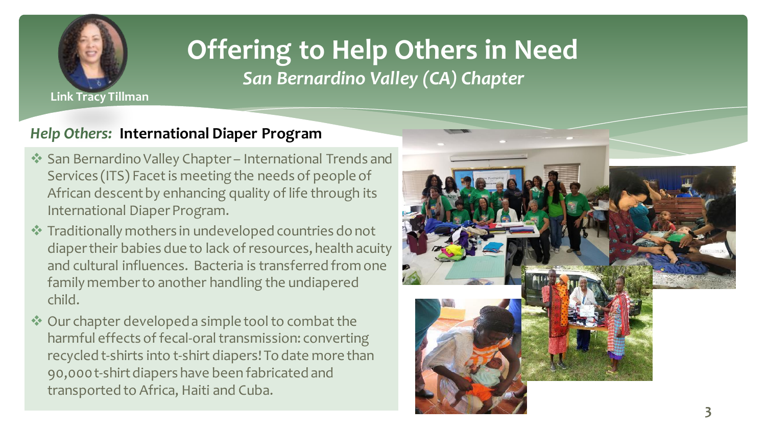

## **Offering to Help Others in Need** *San Bernardino Valley (CA) Chapter*

#### *Help Others:* **International Diaper Program**

- San Bernardino Valley Chapter International Trends and Services (ITS) Facet is meeting the needs of people of African descent by enhancing quality of life through its International Diaper Program.
- $\cdot$  Traditionally mothers in undeveloped countries do not diaper their babies due to lack of resources, health acuity and cultural influences. Bacteria is transferred from one family member to another handling the undiapered child.
- ◆ Our chapter developed a simple tool to combat the harmful effects of fecal-oral transmission: converting recycled t-shirts into t-shirt diapers! To date more than 90,000 t-shirt diapers have been fabricated and transported to Africa, Haiti and Cuba.

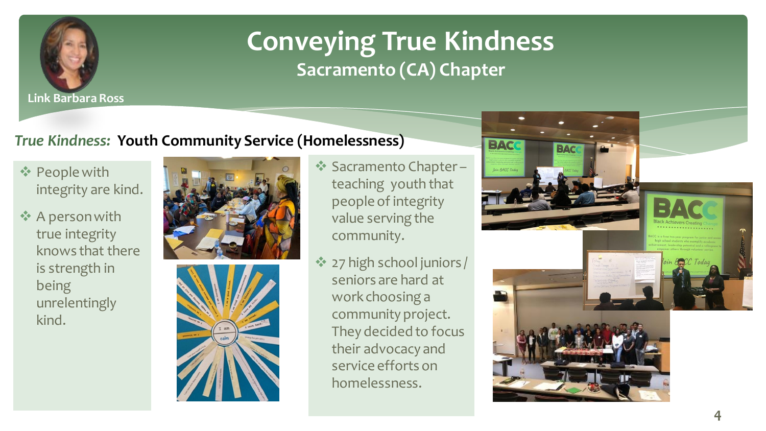

## **Conveying True Kindness Sacramento (CA) Chapter**

### *True Kindness:* **Youth Community Service (Homelessness)**

- **❖ People with** integrity are kind.
- $\triangle$  A person with true integrity knows that there is strength in being unrelentingly kind.





- **❖ Sacramento Chapter** teaching youth that people of integrity value serving the community.
- **→ 27 high school juniors /** seniors are hard at work choosing a community project. They decided to focus their advocacy and service efforts on homelessness.

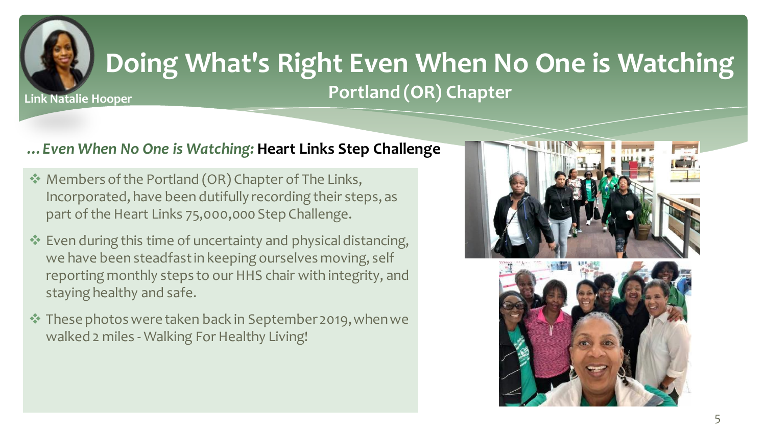### **Doing What's Right Even When No One is Watching Portland (OR) Chapter Link Natalie Hooper**

### *…Even When No One is Watching:* **Heart Links Step Challenge**

- ◆ Members of the Portland (OR) Chapter of The Links, Incorporated, have been dutifully recording their steps, as part of the Heart Links 75,000,000 Step Challenge.
- Even during this time of uncertainty and physical distancing, we have been steadfast in keeping ourselves moving, self reporting monthly steps to our HHS chair with integrity, and staying healthy and safe.
- $\cdot$  These photos were taken back in September 2019, when we walked 2 miles - Walking For Healthy Living!



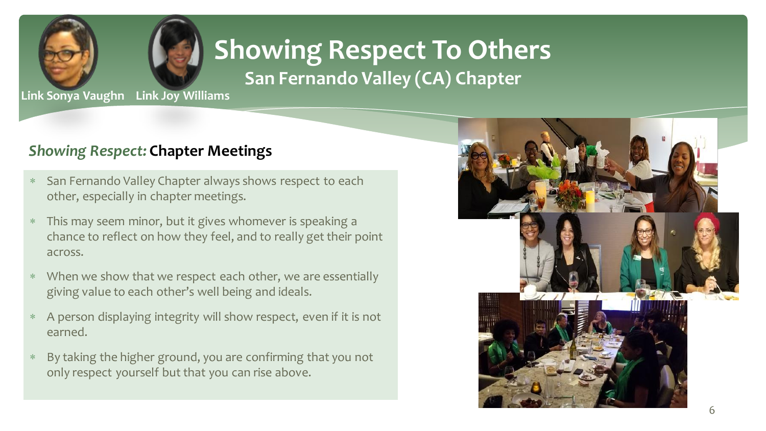

## **Showing Respect To Others San Fernando Valley (CA) Chapter**

**Link Sonya Vaughn**

#### **Link Joy Williams**

### *Showing Respect:* **Chapter Meetings**

- San Fernando Valley Chapter always shows respect to each other, especially in chapter meetings.
- This may seem minor, but it gives whomever is speaking a chance to reflect on how they feel, and to really get their point across.
- When we show that we respect each other, we are essentially giving value to each other's well being and ideals.
- A person displaying integrity will show respect, even if it is not earned.
- By taking the higher ground, you are confirming that you not only respect yourself but that you can rise above.

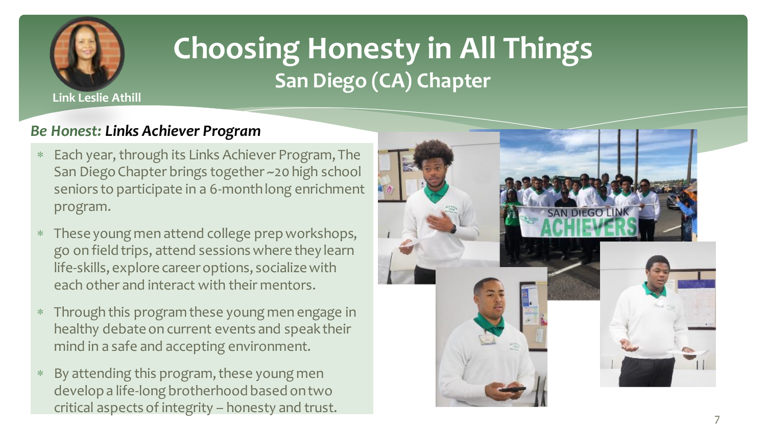

## **Choosing Honesty in All Things San Diego (CA) Chapter**

#### *Be Honest: Links Achiever Program*

- Each year, through its Links Achiever Program, The San Diego Chapter brings together ~20 high school seniors to participate in a 6-month long enrichment program.
- These young men attend college prep workshops, go on field trips, attend sessions where they learn life-skills, explore career options, socialize with each other and interact with their mentors.
- Through this program these young men engage in healthy debate on current events and speak their mind in a safe and accepting environment.
- By attending this program, these young men develop a life-long brotherhood based on two critical aspects of integrity – honesty and trust.

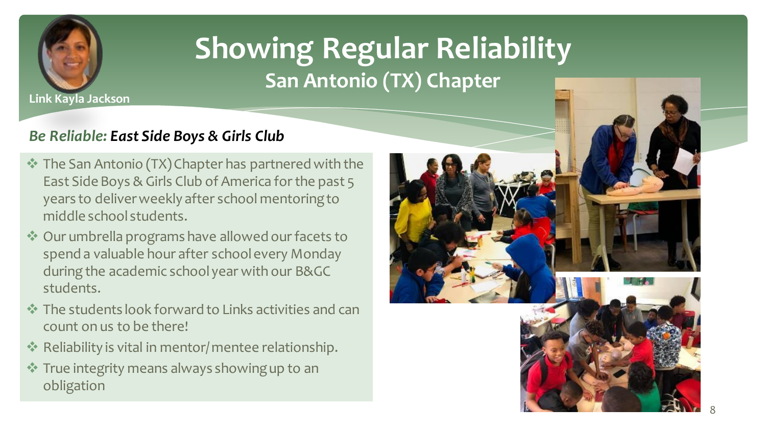

## **Showing Regular Reliability San Antonio (TX) Chapter**

### *Be Reliable: East Side Boys & Girls Club*

- $\cdot$  The San Antonio (TX) Chapter has partnered with the East Side Boys & Girls Club of America for the past 5 years to deliver weekly after school mentoring to middle school students.
- Our umbrella programs have allowed our facets to spend a valuable hour after school every Monday during the academic school year with our B&GC students.
- $\cdot$  The students look forward to Links activities and can count on us to be there!
- \* Reliability is vital in mentor/mentee relationship.
- $\cdot$  True integrity means always showing up to an obligation